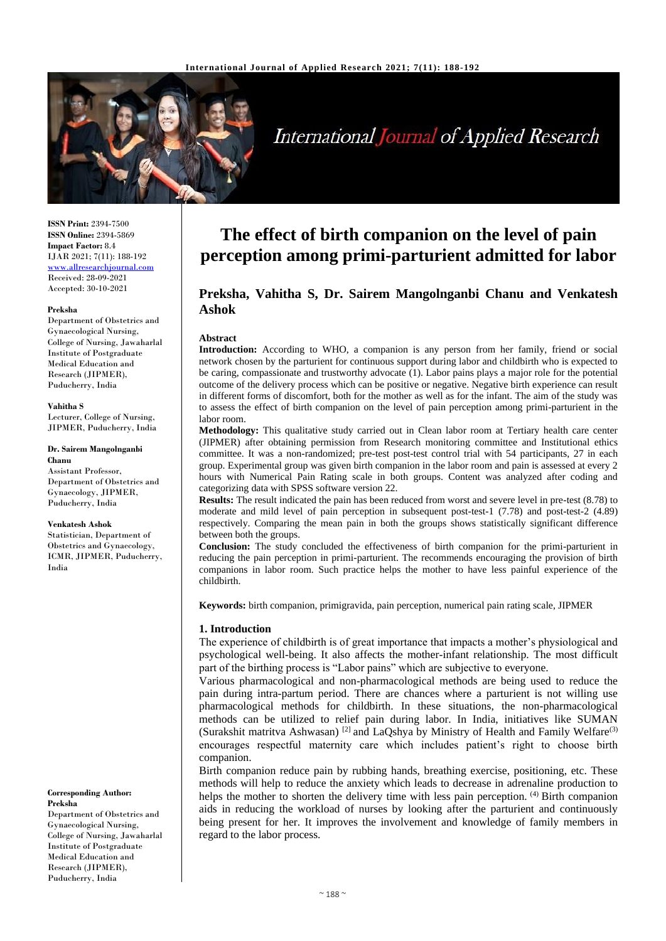

# International Journal of Applied Research

**ISSN Print:** 2394-7500 **ISSN Online:** 2394-5869 **Impact Factor:** 8.4 IJAR 2021; 7(11): 188-192 <www.allresearchjournal.com> Received: 28-09-2021 Accepted: 30-10-2021

#### **Preksha**

Department of Obstetrics and Gynaecological Nursing, College of Nursing, Jawaharlal Institute of Postgraduate Medical Education and Research (JIPMER), Puducherry, India

**Vahitha S**

Lecturer, College of Nursing, JIPMER, Puducherry, India

#### **Dr. Sairem Mangolnganbi Chanu**

Assistant Professor, Department of Obstetrics and Gynaecology, JIPMER, Puducherry, India

#### **Venkatesh Ashok**

Statistician, Department of Obstetrics and Gynaecology, ICMR, JIPMER, Puducherry, India

#### **Corresponding Author: Preksha**

Department of Obstetrics and Gynaecological Nursing, College of Nursing, Jawaharlal Institute of Postgraduate Medical Education and Research (JIPMER), Puducherry, India

## **The effect of birth companion on the level of pain perception among primi-parturient admitted for labor**

## **Preksha, Vahitha S, Dr. Sairem Mangolnganbi Chanu and Venkatesh Ashok**

#### **Abstract**

**Introduction:** According to WHO, a companion is any person from her family, friend or social network chosen by the parturient for continuous support during labor and childbirth who is expected to be caring, compassionate and trustworthy advocate (1). Labor pains plays a major role for the potential outcome of the delivery process which can be positive or negative. Negative birth experience can result in different forms of discomfort, both for the mother as well as for the infant. The aim of the study was to assess the effect of birth companion on the level of pain perception among primi-parturient in the labor room.

**Methodology:** This qualitative study carried out in Clean labor room at Tertiary health care center (JIPMER) after obtaining permission from Research monitoring committee and Institutional ethics committee. It was a non-randomized; pre-test post-test control trial with 54 participants, 27 in each group. Experimental group was given birth companion in the labor room and pain is assessed at every 2 hours with Numerical Pain Rating scale in both groups. Content was analyzed after coding and categorizing data with SPSS software version 22.

**Results:** The result indicated the pain has been reduced from worst and severe level in pre-test (8.78) to moderate and mild level of pain perception in subsequent post-test-1 (7.78) and post-test-2 (4.89) respectively. Comparing the mean pain in both the groups shows statistically significant difference between both the groups.

**Conclusion:** The study concluded the effectiveness of birth companion for the primi-parturient in reducing the pain perception in primi-parturient. The recommends encouraging the provision of birth companions in labor room. Such practice helps the mother to have less painful experience of the childbirth.

**Keywords:** birth companion, primigravida, pain perception, numerical pain rating scale, JIPMER

#### **1. Introduction**

The experience of childbirth is of great importance that impacts a mother's physiological and psychological well-being. It also affects the mother-infant relationship. The most difficult part of the birthing process is "Labor pains" which are subjective to everyone.

Various pharmacological and non-pharmacological methods are being used to reduce the pain during intra-partum period. There are chances where a parturient is not willing use pharmacological methods for childbirth. In these situations, the non-pharmacological methods can be utilized to relief pain during labor. In India, initiatives like SUMAN (Surakshit matritva Ashwasan)<sup>[2]</sup> and LaQshya by Ministry of Health and Family Welfare<sup>(3)</sup> encourages respectful maternity care which includes patient's right to choose birth companion.

Birth companion reduce pain by rubbing hands, breathing exercise, positioning, etc. These methods will help to reduce the anxiety which leads to decrease in adrenaline production to helps the mother to shorten the delivery time with less pain perception. <sup>(4)</sup> Birth companion aids in reducing the workload of nurses by looking after the parturient and continuously being present for her. It improves the involvement and knowledge of family members in regard to the labor process.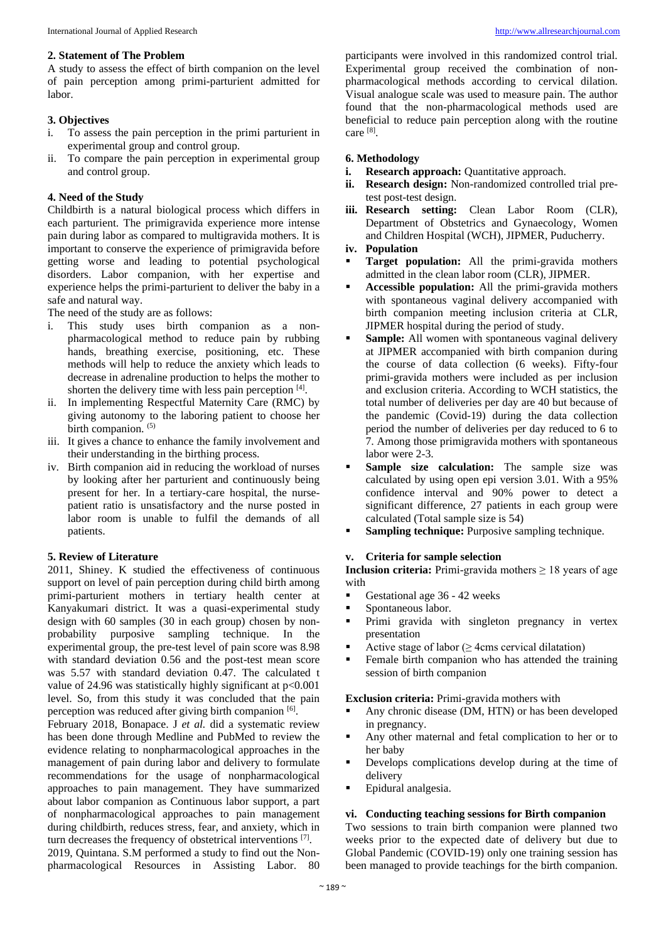A study to assess the effect of birth companion on the level of pain perception among primi-parturient admitted for labor.

## **3. Objectives**

- i. To assess the pain perception in the primi parturient in experimental group and control group.
- ii. To compare the pain perception in experimental group and control group.

## **4. Need of the Study**

Childbirth is a natural biological process which differs in each parturient. The primigravida experience more intense pain during labor as compared to multigravida mothers. It is important to conserve the experience of primigravida before getting worse and leading to potential psychological disorders. Labor companion, with her expertise and experience helps the primi-parturient to deliver the baby in a safe and natural way.

The need of the study are as follows:

- i. This study uses birth companion as a nonpharmacological method to reduce pain by rubbing hands, breathing exercise, positioning, etc. These methods will help to reduce the anxiety which leads to decrease in adrenaline production to helps the mother to shorten the delivery time with less pain perception  $[4]$ .
- ii. In implementing Respectful Maternity Care (RMC) by giving autonomy to the laboring patient to choose her birth companion. (5)
- iii. It gives a chance to enhance the family involvement and their understanding in the birthing process.
- iv. Birth companion aid in reducing the workload of nurses by looking after her parturient and continuously being present for her. In a tertiary-care hospital, the nursepatient ratio is unsatisfactory and the nurse posted in labor room is unable to fulfil the demands of all patients.

## **5. Review of Literature**

2011, Shiney. K studied the effectiveness of continuous support on level of pain perception during child birth among primi-parturient mothers in tertiary health center at Kanyakumari district. It was a quasi-experimental study design with 60 samples (30 in each group) chosen by nonprobability purposive sampling technique. In the experimental group, the pre-test level of pain score was 8.98 with standard deviation 0.56 and the post-test mean score was 5.57 with standard deviation 0.47. The calculated t value of 24.96 was statistically highly significant at p<0.001 level. So, from this study it was concluded that the pain perception was reduced after giving birth companion [6].

February 2018, Bonapace. J *et al.* did a systematic review has been done through Medline and PubMed to review the evidence relating to nonpharmacological approaches in the management of pain during labor and delivery to formulate recommendations for the usage of nonpharmacological approaches to pain management. They have summarized about labor companion as Continuous labor support, a part of nonpharmacological approaches to pain management during childbirth, reduces stress, fear, and anxiety, which in turn decreases the frequency of obstetrical interventions [7].

2019, Quintana. S.M performed a study to find out the Nonpharmacological Resources in Assisting Labor. 80

participants were involved in this randomized control trial. Experimental group received the combination of nonpharmacological methods according to cervical dilation. Visual analogue scale was used to measure pain. The author found that the non-pharmacological methods used are beneficial to reduce pain perception along with the routine care [8] .

## **6. Methodology**

- **i. Research approach:** Quantitative approach.
- **ii. Research design:** Non-randomized controlled trial pretest post-test design.
- **iii. Research setting:** Clean Labor Room (CLR), Department of Obstetrics and Gynaecology, Women and Children Hospital (WCH), JIPMER, Puducherry.

## **iv. Population**

- **Target population:** All the primi-gravida mothers admitted in the clean labor room (CLR), JIPMER.
- Accessible population: All the primi-gravida mothers with spontaneous vaginal delivery accompanied with birth companion meeting inclusion criteria at CLR, JIPMER hospital during the period of study.
- **Sample:** All women with spontaneous vaginal delivery at JIPMER accompanied with birth companion during the course of data collection (6 weeks). Fifty-four primi-gravida mothers were included as per inclusion and exclusion criteria. According to WCH statistics, the total number of deliveries per day are 40 but because of the pandemic (Covid-19) during the data collection period the number of deliveries per day reduced to 6 to 7. Among those primigravida mothers with spontaneous labor were 2-3.
- **Sample size calculation:** The sample size was calculated by using open epi version 3.01. With a 95% confidence interval and 90% power to detect a significant difference, 27 patients in each group were calculated (Total sample size is 54)
- **Sampling technique:** Purposive sampling technique.

## **v. Criteria for sample selection**

**Inclusion criteria:** Primi-gravida mothers  $\geq 18$  years of age with

- Gestational age 36 42 weeks
- Spontaneous labor.
- Primi gravida with singleton pregnancy in vertex presentation
- Active stage of labor ( $\geq$  4cms cervical dilatation)
- Female birth companion who has attended the training session of birth companion

#### **Exclusion criteria:** Primi-gravida mothers with

- Any chronic disease (DM, HTN) or has been developed in pregnancy.
- Any other maternal and fetal complication to her or to her baby
- Develops complications develop during at the time of delivery
- Epidural analgesia.

#### **vi. Conducting teaching sessions for Birth companion**

Two sessions to train birth companion were planned two weeks prior to the expected date of delivery but due to Global Pandemic (COVID-19) only one training session has been managed to provide teachings for the birth companion.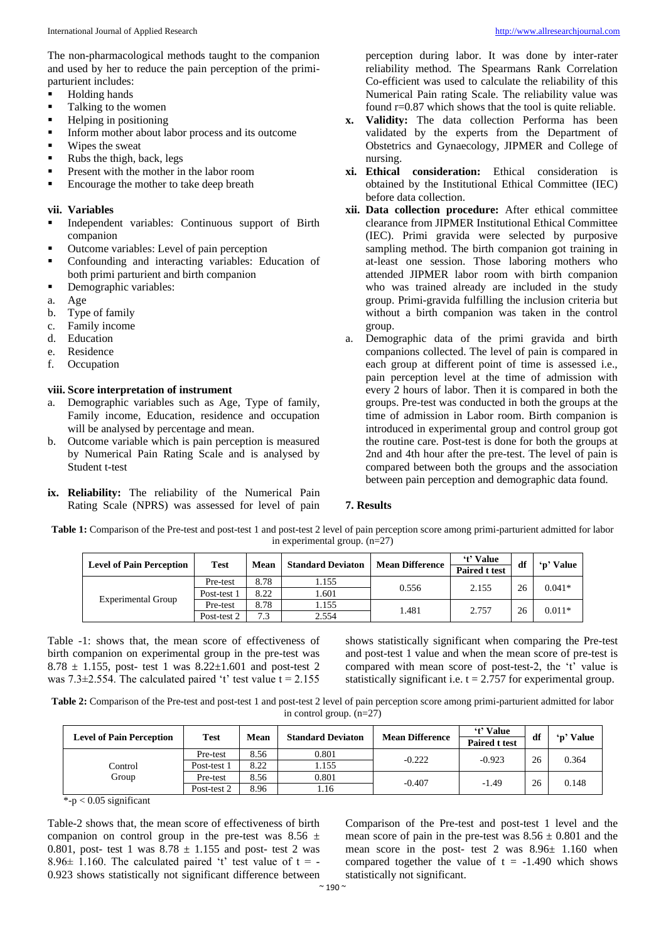The non-pharmacological methods taught to the companion and used by her to reduce the pain perception of the primiparturient includes:

- **Holding hands**
- Talking to the women
- Helping in positioning
- **IF** Inform mother about labor process and its outcome
- Wipes the sweat
- Rubs the thigh, back, legs
- **•** Present with the mother in the labor room
- Encourage the mother to take deep breath

#### **vii. Variables**

- Independent variables: Continuous support of Birth companion
- Outcome variables: Level of pain perception
- Confounding and interacting variables: Education of both primi parturient and birth companion
- Demographic variables:
- a. Age
- b. Type of family
- c. Family income
- d. Education
- e. Residence
- f. Occupation

#### **viii. Score interpretation of instrument**

- a. Demographic variables such as Age, Type of family, Family income, Education, residence and occupation will be analysed by percentage and mean.
- b. Outcome variable which is pain perception is measured by Numerical Pain Rating Scale and is analysed by Student t-test
- **ix. Reliability:** The reliability of the Numerical Pain Rating Scale (NPRS) was assessed for level of pain

perception during labor. It was done by inter-rater reliability method. The Spearmans Rank Correlation Co-efficient was used to calculate the reliability of this Numerical Pain rating Scale. The reliability value was found r=0.87 which shows that the tool is quite reliable.

- **x. Validity:** The data collection Performa has been validated by the experts from the Department of Obstetrics and Gynaecology, JIPMER and College of nursing.
- **xi. Ethical consideration:** Ethical consideration is obtained by the Institutional Ethical Committee (IEC) before data collection.
- **xii. Data collection procedure:** After ethical committee clearance from JIPMER Institutional Ethical Committee (IEC). Primi gravida were selected by purposive sampling method. The birth companion got training in at-least one session. Those laboring mothers who attended JIPMER labor room with birth companion who was trained already are included in the study group. Primi-gravida fulfilling the inclusion criteria but without a birth companion was taken in the control group.
- a. Demographic data of the primi gravida and birth companions collected. The level of pain is compared in each group at different point of time is assessed i.e., pain perception level at the time of admission with every 2 hours of labor. Then it is compared in both the groups. Pre-test was conducted in both the groups at the time of admission in Labor room. Birth companion is introduced in experimental group and control group got the routine care. Post-test is done for both the groups at 2nd and 4th hour after the pre-test. The level of pain is compared between both the groups and the association between pain perception and demographic data found.

#### **7. Results**

**Table 1:** Comparison of the Pre-test and post-test 1 and post-test 2 level of pain perception score among primi-parturient admitted for labor in experimental group. (n=27)

| <b>Test</b>             | Mean         | <b>Standard Deviaton</b> | <b>Mean Difference</b> | 't' Value<br><b>Paired t test</b> | df | <b>Value</b> |
|-------------------------|--------------|--------------------------|------------------------|-----------------------------------|----|--------------|
| Pre-test<br>Post-test 1 | 8.78<br>8.22 | 1.155<br>1.601           | 0.556                  | 2.155                             | 26 | $0.041*$     |
| Pre-test                | 8.78         | 1.155                    | 1.481                  | 2.757                             | 26 | $0.011*$     |
|                         | Post-test 2  | 7.3                      | 2.554                  |                                   |    |              |

Table -1: shows that, the mean score of effectiveness of birth companion on experimental group in the pre-test was 8.78  $\pm$  1.155, post- test 1 was 8.22 $\pm$ 1.601 and post-test 2 was 7.3 $\pm$ 2.554. The calculated paired 't' test value t = 2.155 shows statistically significant when comparing the Pre-test and post-test 1 value and when the mean score of pre-test is compared with mean score of post-test-2, the 't' value is statistically significant i.e.  $t = 2.757$  for experimental group.

**Table 2:** Comparison of the Pre-test and post-test 1 and post-test 2 level of pain perception score among primi-parturient admitted for labor in control group.  $(n=27)$ 

| <b>Level of Pain Perception</b> | <b>Test</b> | Mean | <b>Standard Deviaton</b> | <b>Mean Difference</b> | 't' Value<br><b>Paired t test</b> | df | 'p' Value |
|---------------------------------|-------------|------|--------------------------|------------------------|-----------------------------------|----|-----------|
|                                 | Pre-test    | 8.56 | 0.801                    | $-0.222$               | $-0.923$                          | 26 | 0.364     |
| Control                         | Post-test 1 | 8.22 | 1.155                    |                        |                                   |    |           |
| Group                           | Pre-test    | 8.56 | 0.801                    | $-0.407$               | $-1.49$                           | 26 | 0.148     |
|                                 | Post-test 2 | 8.96 | 1.16                     |                        |                                   |    |           |

\*-p < 0.05 significant

Table-2 shows that, the mean score of effectiveness of birth companion on control group in the pre-test was  $8.56 \pm$ 0.801, post- test 1 was  $8.78 \pm 1.155$  and post- test 2 was 8.96 $\pm$  1.160. The calculated paired 't' test value of t = -0.923 shows statistically not significant difference between

Comparison of the Pre-test and post-test 1 level and the mean score of pain in the pre-test was  $8.56 \pm 0.801$  and the mean score in the post- test 2 was 8.96± 1.160 when compared together the value of  $t = -1.490$  which shows statistically not significant.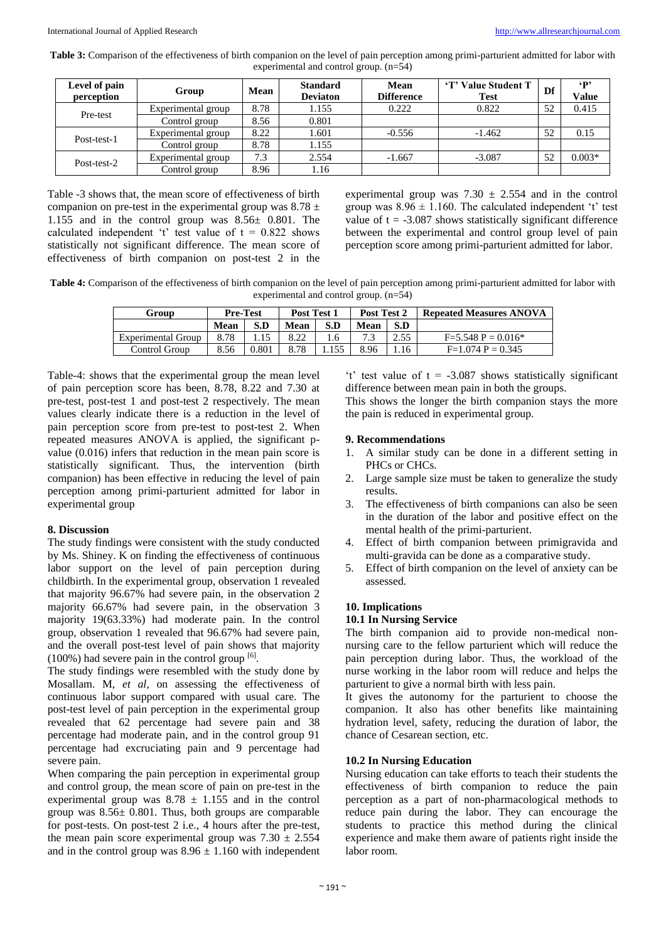| Table 3: Comparison of the effectiveness of birth companion on the level of pain perception among primi-parturient admitted for labor with |  |
|--------------------------------------------------------------------------------------------------------------------------------------------|--|
| experimental and control group. $(n=54)$                                                                                                   |  |

| Level of pain<br>perception | Group              | Mean | <b>Standard</b><br><b>Deviaton</b> | Mean<br><b>Difference</b> | 'T' Value Student T<br><b>Test</b> | Df | $\{p\}$<br><b>Value</b> |
|-----------------------------|--------------------|------|------------------------------------|---------------------------|------------------------------------|----|-------------------------|
| Pre-test                    | Experimental group | 8.78 | 1.155                              | 0.222                     | 0.822                              | 52 | 0.415                   |
|                             | Control group      | 8.56 | 0.801                              |                           |                                    |    |                         |
| Post-test-1                 | Experimental group | 8.22 | .601                               | $-0.556$                  | $-1.462$                           | 52 | 0.15                    |
|                             | Control group      | 8.78 | 1.155                              |                           |                                    |    |                         |
| Post-test-2                 | Experimental group | 7.3  | 2.554                              | $-1.667$                  | $-3.087$                           | 52 | $0.003*$                |
|                             | Control group      | 8.96 | 1.16                               |                           |                                    |    |                         |

Table -3 shows that, the mean score of effectiveness of birth companion on pre-test in the experimental group was  $8.78 \pm$ 1.155 and in the control group was 8.56± 0.801. The calculated independent 't' test value of  $t = 0.822$  shows statistically not significant difference. The mean score of effectiveness of birth companion on post-test 2 in the experimental group was  $7.30 \pm 2.554$  and in the control group was  $8.96 \pm 1.160$ . The calculated independent 't' test value of  $t = -3.087$  shows statistically significant difference between the experimental and control group level of pain perception score among primi-parturient admitted for labor.

**Table 4:** Comparison of the effectiveness of birth companion on the level of pain perception among primi-parturient admitted for labor with experimental and control group. (n=54)

| Group                     | <b>Pre-Test</b> |       | Post Test 1 |      | Post Test 2 |      | <b>Repeated Measures ANOVA</b> |
|---------------------------|-----------------|-------|-------------|------|-------------|------|--------------------------------|
|                           | <b>Mean</b>     | S.D   | Mean        | S.D  | Mean        | S.D  |                                |
| <b>Experimental Group</b> | 8.78            |       | 8.22        | . .6 | 72          | 2.55 | $F=5.548 P=0.016*$             |
| Control Group             | 8.56            | 0.801 | 8.78        | .155 | 8.96        | 1.16 | $F=1.074$ P = 0.345            |

Table-4: shows that the experimental group the mean level of pain perception score has been, 8.78, 8.22 and 7.30 at pre-test, post-test 1 and post-test 2 respectively. The mean values clearly indicate there is a reduction in the level of pain perception score from pre-test to post-test 2. When repeated measures ANOVA is applied, the significant pvalue (0.016) infers that reduction in the mean pain score is statistically significant. Thus, the intervention (birth companion) has been effective in reducing the level of pain perception among primi-parturient admitted for labor in experimental group

#### **8. Discussion**

The study findings were consistent with the study conducted by Ms. Shiney. K on finding the effectiveness of continuous labor support on the level of pain perception during childbirth. In the experimental group, observation 1 revealed that majority 96.67% had severe pain, in the observation 2 majority 66.67% had severe pain, in the observation 3 majority 19(63.33%) had moderate pain. In the control group, observation 1 revealed that 96.67% had severe pain, and the overall post-test level of pain shows that majority  $(100%)$  had severe pain in the control group  $[6]$ .

The study findings were resembled with the study done by Mosallam. M, *et al*, on assessing the effectiveness of continuous labor support compared with usual care. The post-test level of pain perception in the experimental group revealed that 62 percentage had severe pain and 38 percentage had moderate pain, and in the control group 91 percentage had excruciating pain and 9 percentage had severe pain.

When comparing the pain perception in experimental group and control group, the mean score of pain on pre-test in the experimental group was  $8.78 \pm 1.155$  and in the control group was 8.56± 0.801. Thus, both groups are comparable for post-tests. On post-test 2 i.e., 4 hours after the pre-test, the mean pain score experimental group was  $7.30 \pm 2.554$ and in the control group was  $8.96 \pm 1.160$  with independent

't' test value of  $t = -3.087$  shows statistically significant difference between mean pain in both the groups. This shows the longer the birth companion stays the more the pain is reduced in experimental group.

#### **9. Recommendations**

- 1. A similar study can be done in a different setting in PHCs or CHCs.
- 2. Large sample size must be taken to generalize the study results.
- 3. The effectiveness of birth companions can also be seen in the duration of the labor and positive effect on the mental health of the primi-parturient.
- 4. Effect of birth companion between primigravida and multi-gravida can be done as a comparative study.
- 5. Effect of birth companion on the level of anxiety can be assessed.

#### **10. Implications**

#### **10.1 In Nursing Service**

The birth companion aid to provide non-medical nonnursing care to the fellow parturient which will reduce the pain perception during labor. Thus, the workload of the nurse working in the labor room will reduce and helps the parturient to give a normal birth with less pain.

It gives the autonomy for the parturient to choose the companion. It also has other benefits like maintaining hydration level, safety, reducing the duration of labor, the chance of Cesarean section, etc.

#### **10.2 In Nursing Education**

Nursing education can take efforts to teach their students the effectiveness of birth companion to reduce the pain perception as a part of non-pharmacological methods to reduce pain during the labor. They can encourage the students to practice this method during the clinical experience and make them aware of patients right inside the labor room.